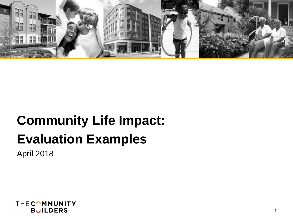

# **Community Life Impact: Evaluation Examples**

April 2018

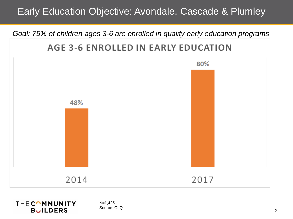## Early Education Objective: Avondale, Cascade & Plumley

*Goal: 75% of children ages 3-6 are enrolled in quality early education programs*





N=1,425 Source: CLQ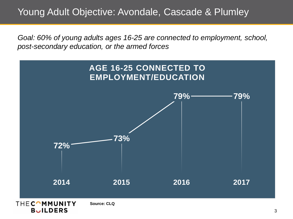#### Young Adult Objective: Avondale, Cascade & Plumley

*Goal: 60% of young adults ages 16-25 are connected to employment, school, post-secondary education, or the armed forces*

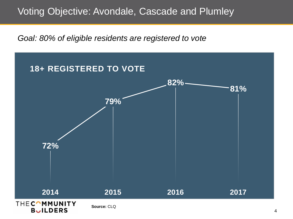### Voting Objective: Avondale, Cascade and Plumley

*Goal: 80% of eligible residents are registered to vote*

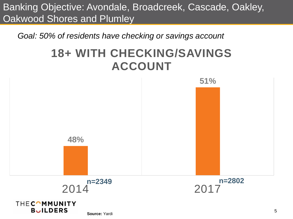# Banking Objective: Avondale, Broadcreek, Cascade, Oakley, Oakwood Shores and Plumley

*Goal: 50% of residents have checking or savings account*

# **18+ WITH CHECKING/SAVINGS ACCOUNT**



**Source:** Yardi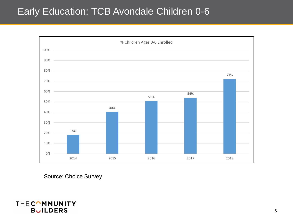#### Early Education: TCB Avondale Children 0-6



Source: Choice Survey

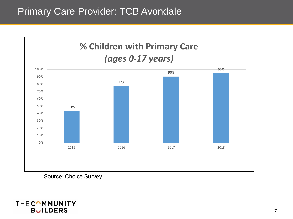### Primary Care Provider: TCB Avondale



Source: Choice Survey

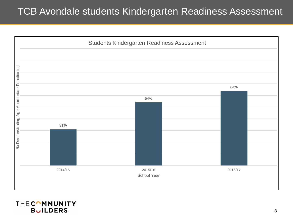#### TCB Avondale students Kindergarten Readiness Assessment